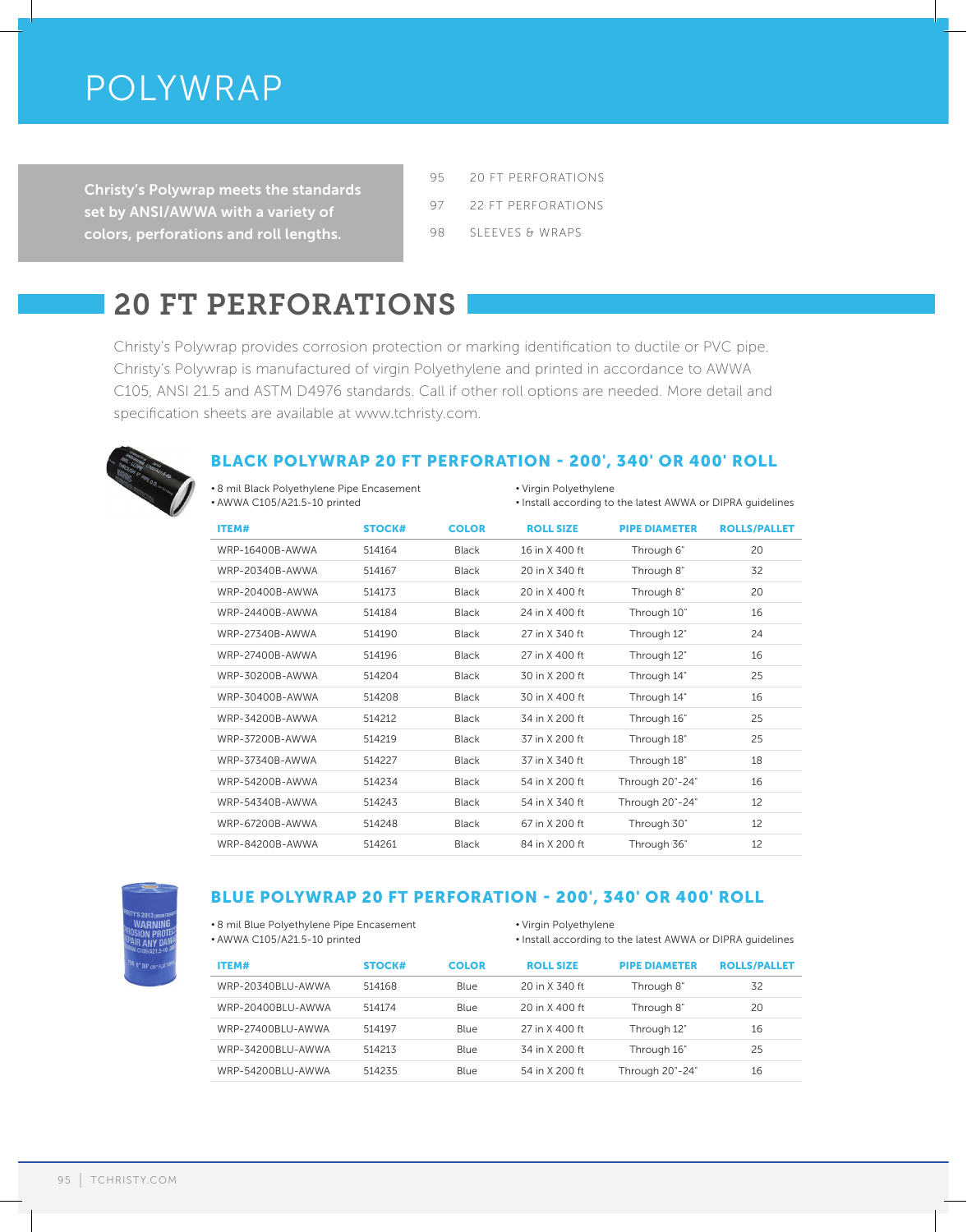# POLYWRAP

Christy's Polywrap meets the standards set by ANSI/AWWA with a variety of colors, perforations and roll lengths.

- 95 20 FT PERFORATIONS
- 97 22 FT PERFORATIONS
- 98 SLEEVES & WRAPS

# 20 FT PERFORATIONS

Christy's Polywrap provides corrosion protection or marking identification to ductile or PVC pipe. Christy's Polywrap is manufactured of virgin Polyethylene and printed in accordance to AWWA C105, ANSI 21.5 and ASTM D4976 standards. Call if other roll options are needed. More detail and specification sheets are available at www.tchristy.com.



## BLACK POLYWRAP 20 FT PERFORATION - 200', 340' OR 400' ROLL

• 8 mil Black Polyethylene Pipe Encasement • AWWA C105/A21.5-10 printed

• Virgin Polyethylene

• Install according to the latest AWWA or DIPRA guidelines

| ITEM#           | <b>STOCK#</b> | <b>COLOR</b> | <b>ROLL SIZE</b> | <b>PIPE DIAMETER</b> | <b>ROLLS/PALLET</b> |
|-----------------|---------------|--------------|------------------|----------------------|---------------------|
| WRP-16400B-AWWA | 514164        | Black        | 16 in X 400 ft   | Through 6"           | 20                  |
| WRP-20340B-AWWA | 514167        | Black        | 20 in X 340 ft   | Through 8"           | 32                  |
| WRP-20400B-AWWA | 514173        | Black        | 20 in X 400 ft   | Through 8"           | 20                  |
| WRP-24400B-AWWA | 514184        | Black        | 24 in X 400 ft   | Through 10"          | 16                  |
| WRP-27340B-AWWA | 514190        | Black        | 27 in X 340 ft   | Through 12"          | 24                  |
| WRP-27400B-AWWA | 514196        | Black        | 27 in X 400 ft   | Through 12"          | 16                  |
| WRP-30200B-AWWA | 514204        | Black        | 30 in X 200 ft   | Through 14"          | 25                  |
| WRP-30400B-AWWA | 514208        | <b>Black</b> | 30 in X 400 ft   | Through 14"          | 16                  |
| WRP-34200B-AWWA | 514212        | <b>Black</b> | 34 in X 200 ft   | Through 16"          | 25                  |
| WRP-37200B-AWWA | 514219        | Black        | 37 in X 200 ft   | Through 18"          | 25                  |
| WRP-37340B-AWWA | 514227        | Black        | 37 in X 340 ft   | Through 18"          | 18                  |
| WRP-54200B-AWWA | 514234        | <b>Black</b> | 54 in X 200 ft   | Through 20"-24"      | 16                  |
| WRP-54340B-AWWA | 514243        | Black        | 54 in X 340 ft   | Through 20"-24"      | 12                  |
| WRP-67200B-AWWA | 514248        | <b>Black</b> | 67 in X 200 ft   | Through 30"          | 12                  |
| WRP-84200B-AWWA | 514261        | Black        | 84 in X 200 ft   | Through 36"          | 12                  |

## BLUE POLYWRAP 20 FT PERFORATION - 200', 340' OR 400' ROLL

• 8 mil Blue Polyethylene Pipe Encasement • AWWA C105/A21.5-10 printed

• Virgin Polyethylene

• Install according to the latest AWWA or DIPRA guidelines

| <b>ITEM#</b>      | <b>STOCK#</b> | <b>COLOR</b> | <b>ROLL SIZE</b> | <b>PIPE DIAMETER</b> | <b>ROLLS/PALLET</b> |
|-------------------|---------------|--------------|------------------|----------------------|---------------------|
| WRP-20340BLU-AWWA | 514168        | <b>Blue</b>  | 20 in X 340 ft   | Through 8"           | 32                  |
| WRP-20400BLU-AWWA | 514174        | <b>Blue</b>  | 20 in X 400 ft   | Through 8"           | 20                  |
| WRP-27400BLU-AWWA | 514197        | <b>Blue</b>  | 27 in X 400 ft   | Through 12"          | 16                  |
| WRP-34200BLU-AWWA | 514213        | Blue         | 34 in X 200 ft   | Through 16"          | 25                  |
| WRP-54200BLU-AWWA | 514235        | Blue         | 54 in X 200 ft   | Through 20"-24"      | 16                  |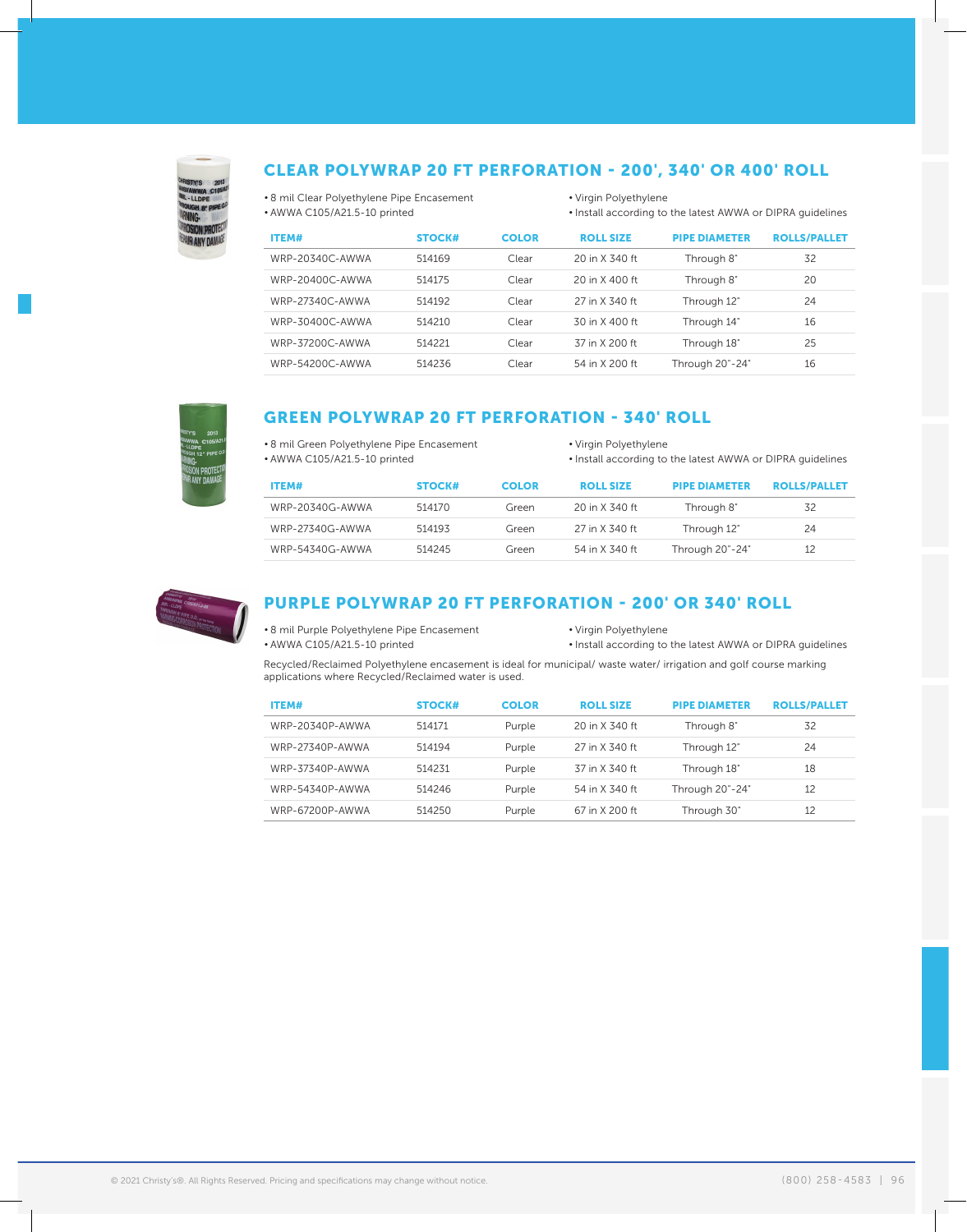

#### CLEAR POLYWRAP 20 FT PERFORATION - 200', 340' OR 400' ROLL

• 8 mil Clear Polyethylene Pipe Encasement • AWWA C105/A21.5-10 printed

• Virgin Polyethylene • Install according to the latest AWWA or DIPRA guidelines

| ITEM#           | <b>STOCK#</b> | <b>COLOR</b> | <b>ROLL SIZE</b> | <b>PIPE DIAMETER</b> | <b>ROLLS/PALLET</b> |
|-----------------|---------------|--------------|------------------|----------------------|---------------------|
| WRP-20340C-AWWA | 514169        | Clear        | 20 in X 340 ft   | Through 8"           | 32                  |
| WRP-20400C-AWWA | 514175        | Clear        | 20 in X 400 ft   | Through 8"           | 20                  |
| WRP-27340C-AWWA | 514192        | Clear        | 27 in X 340 ft   | Through 12"          | 24                  |
| WRP-30400C-AWWA | 514210        | Clear        | 30 in X 400 ft   | Through 14"          | 16                  |
| WRP-37200C-AWWA | 514221        | Clear        | 37 in X 200 ft   | Through 18"          | 25                  |
| WRP-54200C-AWWA | 514236        | Clear        | 54 in X 200 ft   | Through 20"-24"      | 16                  |



#### GREEN POLYWRAP 20 FT PERFORATION - 340' ROLL

• 8 mil Green Polyethylene Pipe Encasement • AWWA C105/A21.5-10 printed

• Virgin Polyethylene

• Install according to the latest AWWA or DIPRA guidelines

| <b>ITEM#</b>    | STOCK# | <b>COLOR</b> | <b>ROLL SIZE</b> | <b>PIPE DIAMETER</b> | <b>ROLLS/PALLET</b> |
|-----------------|--------|--------------|------------------|----------------------|---------------------|
| WRP-20340G-AWWA | 514170 | Green        | 20 in X 340 ft   | Through 8"           | 32                  |
| WRP-27340G-AWWA | 514193 | Green        | 27 in X 340 ft   | Through 12"          | 24                  |
| WRP-54340G-AWWA | 514245 | Green        | 54 in X 340 ft   | Through 20"-24"      | 12                  |



#### PURPLE POLYWRAP 20 FT PERFORATION - 200' OR 340' ROLL

• 8 mil Purple Polyethylene Pipe Encasement • AWWA C105/A21.5-10 printed

• Virgin Polyethylene

• Install according to the latest AWWA or DIPRA guidelines

Recycled/Reclaimed Polyethylene encasement is ideal for municipal/ waste water/ irrigation and golf course marking applications where Recycled/Reclaimed water is used.

| ITEM#           | <b>STOCK#</b> | <b>COLOR</b> | <b>ROLL SIZE</b> | <b>PIPE DIAMETER</b> | <b>ROLLS/PALLET</b> |
|-----------------|---------------|--------------|------------------|----------------------|---------------------|
| WRP-20340P-AWWA | 514171        | Purple       | 20 in X 340 ft   | Through 8"           | 32                  |
| WRP-27340P-AWWA | 514194        | Purple       | 27 in X 340 ft   | Through 12"          | 24                  |
| WRP-37340P-AWWA | 514231        | Purple       | 37 in X 340 ft   | Through 18"          | 18                  |
| WRP-54340P-AWWA | 514246        | Purple       | 54 in X 340 ft   | Through 20"-24"      | 12                  |
| WRP-67200P-AWWA | 514250        | Purple       | 67 in X 200 ft   | Through 30"          | 12                  |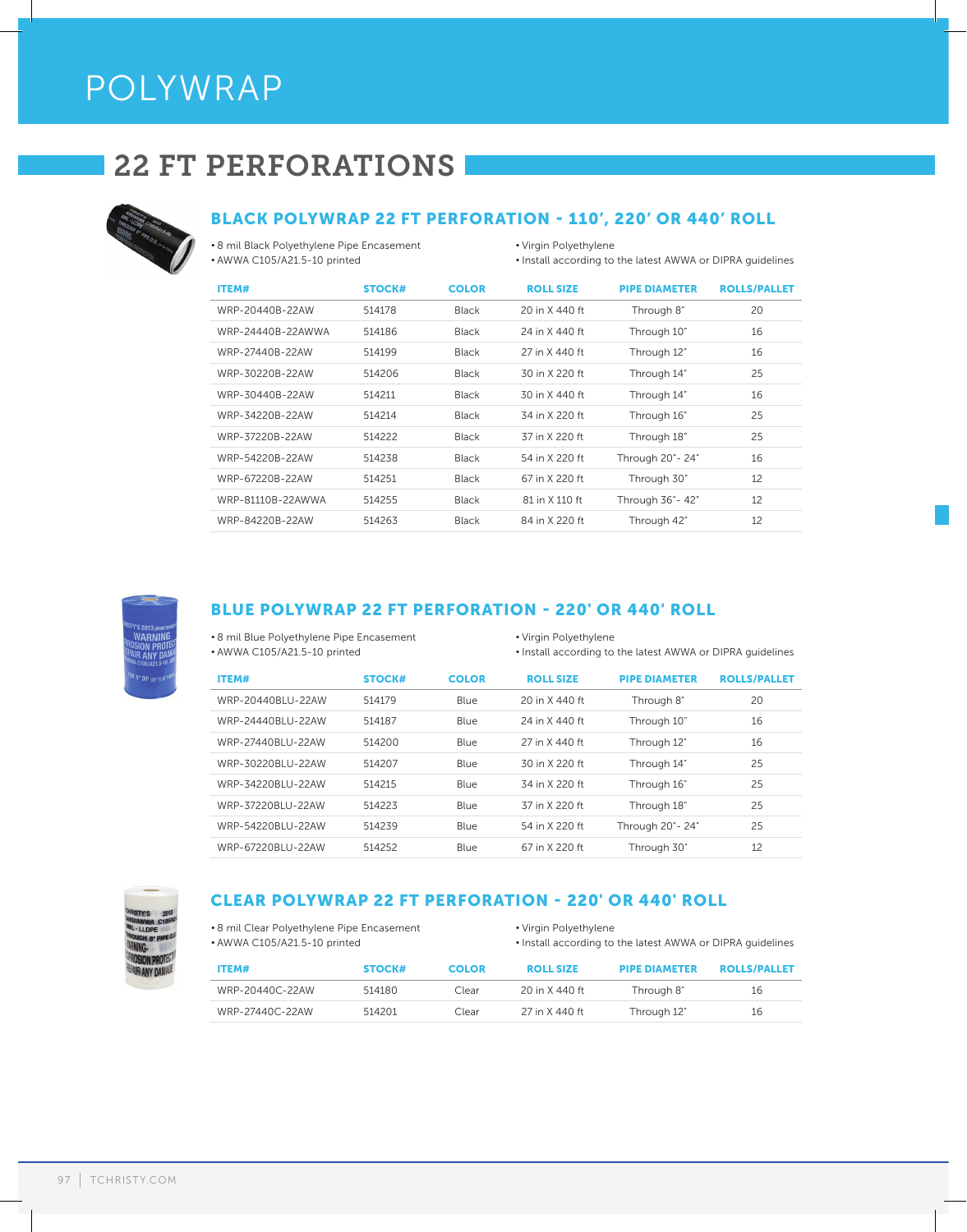# POLYWRAP

# 22 FT PERFORATIONS



#### BLACK POLYWRAP 22 FT PERFORATION - 110', 220' OR 440' ROLL

• 8 mil Black Polyethylene Pipe Encasement • AWWA C105/A21.5-10 printed

- Virgin Polyethylene
- Install according to the latest AWWA or DIPRA guidelines

| <b>ITEM#</b>      | <b>STOCK#</b> | <b>COLOR</b> | <b>ROLL SIZE</b> | <b>PIPE DIAMETER</b> | <b>ROLLS/PALLET</b> |
|-------------------|---------------|--------------|------------------|----------------------|---------------------|
| WRP-20440B-22AW   | 514178        | Black        | 20 in X 440 ft   | Through 8"           | 20                  |
| WRP-24440B-22AWWA | 514186        | <b>Black</b> | 24 in X 440 ft   | Through 10"          | 16                  |
| WRP-27440B-22AW   | 514199        | Black        | 27 in X 440 ft   | Through 12"          | 16                  |
| WRP-30220B-22AW   | 514206        | <b>Black</b> | 30 in X 220 ft   | Through 14"          | 25                  |
| WRP-30440B-22AW   | 514211        | <b>Black</b> | 30 in X 440 ft   | Through 14"          | 16                  |
| WRP-34220B-22AW   | 514214        | <b>Black</b> | 34 in X 220 ft   | Through 16"          | 25                  |
| WRP-37220B-22AW   | 514222        | <b>Black</b> | 37 in X 220 ft   | Through 18"          | 25                  |
| WRP-54220B-22AW   | 514238        | <b>Black</b> | 54 in X 220 ft   | Through 20" - 24"    | 16                  |
| WRP-67220B-22AW   | 514251        | <b>Black</b> | 67 in X 220 ft   | Through 30"          | 12                  |
| WRP-81110B-22AWWA | 514255        | Black        | 81 in X 110 ft   | Through 36" - 42"    | 12                  |
| WRP-84220B-22AW   | 514263        | Black        | 84 in X 220 ft   | Through 42"          | 12                  |



#### BLUE POLYWRAP 22 FT PERFORATION - 220' OR 440' ROLL

- 8 mil Blue Polyethylene Pipe Encasement • AWWA C105/A21.5-10 printed
- Virgin Polyethylene
- Install according to the latest AWWA or DIPRA guidelines

| ITEM#             | <b>STOCK#</b> | <b>COLOR</b> | <b>ROLL SIZE</b> | <b>PIPE DIAMETER</b> | <b>ROLLS/PALLET</b> |
|-------------------|---------------|--------------|------------------|----------------------|---------------------|
| WRP-20440BLU-22AW | 514179        | <b>Blue</b>  | 20 in X 440 ft   | Through 8"           | 20                  |
| WRP-24440BLU-22AW | 514187        | Blue         | 24 in X 440 ft   | Through 10"          | 16                  |
| WRP-27440BLU-22AW | 514200        | <b>Blue</b>  | 27 in X 440 ft   | Through 12"          | 16                  |
| WRP-30220BLU-22AW | 514207        | Blue         | 30 in X 220 ft   | Through 14"          | 25                  |
| WRP-34220BLU-22AW | 514215        | Blue         | 34 in X 220 ft   | Through 16"          | 25                  |
| WRP-37220BLU-22AW | 514223        | Blue         | 37 in X 220 ft   | Through 18"          | 25                  |
| WRP-54220BLU-22AW | 514239        | Blue         | 54 in X 220 ft   | Through 20" - 24"    | 25                  |
| WRP-67220BLU-22AW | 514252        | Blue         | 67 in X 220 ft   | Through 30"          | 12                  |



## CLEAR POLYWRAP 22 FT PERFORATION - 220' OR 440' ROLL

• 8 mil Clear Polyethylene Pipe Encasement • AWWA C105/A21.5-10 printed

- Virgin Polyethylene
- Install according to the latest AWWA or DIPRA guidelines

| ITEM#           | STOCK# | <b>COLOR</b> | <b>ROLL SIZE</b> | <b>PIPE DIAMETER</b> | <b>ROLLS/PALLET</b> |
|-----------------|--------|--------------|------------------|----------------------|---------------------|
| WRP-20440C-22AW | 514180 | Clear        | 20 in X 440 ft   | Through 8"           | 16                  |
| WRP-27440C-22AW | 514201 | Clear        | 27 in X 440 ft   | Through 12"          | 16                  |